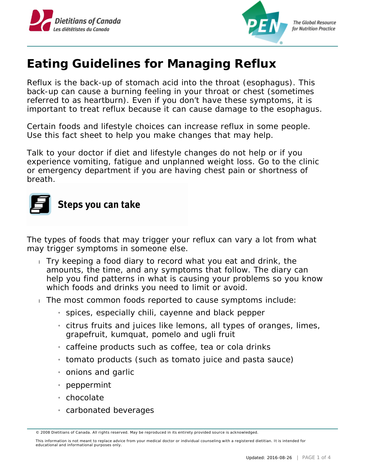



**The Global Resource** for Nutrition Practice

## **Eating Guidelines for Managing Reflux**

Reflux is the back-up of stomach acid into the throat (esophagus). This back-up can cause a burning feeling in your throat or chest (sometimes referred to as heartburn). Even if you don't have these symptoms, it is important to treat reflux because it can cause damage to the esophagus.

Certain foods and lifestyle choices can increase reflux in some people. Use this fact sheet to help you make changes that may help.

Talk to your doctor if diet and lifestyle changes do not help or if you experience vomiting, fatigue and unplanned weight loss. Go to the clinic or emergency department if you are having chest pain or shortness of breath.

## Steps you can take

The types of foods that may trigger your reflux can vary a lot from what may trigger symptoms in someone else.

- Try keeping a food diary to record what you eat and drink, the amounts, the time, and any symptoms that follow. The diary can help you find patterns in what is causing your problems so you know which foods and drinks you need to limit or avoid.
- The most common foods reported to cause symptoms include:
	- » spices, especially chili, cayenne and black pepper
	- » citrus fruits and juices like lemons, all types of oranges, limes, grapefruit, kumquat, pomelo and ugli fruit
	- $_1$  caffeine products such as coffee, tea or cola drinks
	- » tomato products (such as tomato juice and pasta sauce)
	- » onions and garlic
	- » peppermint
	- » chocolate
	- » carbonated beverages

<sup>© 2008</sup> Dietitians of Canada. All rights reserved. May be reproduced in its entirety provided source is acknowledged.

This information is not meant to replace advice from your medical doctor or individual counseling with a registered dietitian. It is intended for educational and informational purposes only.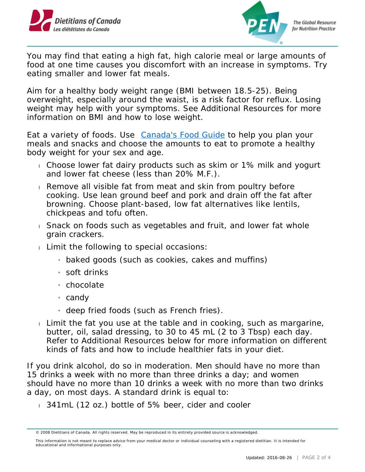



You may find that eating a high fat, high calorie meal or large amounts of food at one time causes you discomfort with an increase in symptoms. Try eating smaller and lower fat meals.

Aim for a healthy body weight range (BMI between 18.5-25). Being overweight, especially around the waist, is a risk factor for reflux. Losing weight may help with your symptoms. See Additional Resources for more information on BMI and how to lose weight.

Eat a variety of foods. Use [Canada's Food Guide](http://www.healthcanada.gc.ca/foodguide) to help you plan your meals and snacks and choose the amounts to eat to promote a healthy body weight for your sex and age.

- Choose lower fat dairy products such as skim or 1% milk and yogurt and lower fat cheese (less than 20% M.F.).
- Remove all visible fat from meat and skin from poultry before cooking. Use lean ground beef and pork and drain off the fat after browning. Choose plant-based, low fat alternatives like lentils, chickpeas and tofu often.
- Snack on foods such as vegetables and fruit, and lower fat whole grain crackers.
- $\Box$  Limit the following to special occasions:
	- » baked goods (such as cookies, cakes and muffins)
	- » soft drinks
	- » chocolate
	- <sub>i</sub> candy
	- » deep fried foods (such as French fries).
- Limit the fat you use at the table and in cooking, such as margarine, butter, oil, salad dressing, to 30 to 45 mL (2 to 3 Tbsp) each day. Refer to Additional Resources below for more information on different kinds of fats and how to include healthier fats in your diet.

If you drink alcohol, do so in moderation. Men should have no more than 15 drinks a week with no more than three drinks a day; and women should have no more than 10 drinks a week with no more than two drinks a day, on most days. A standard drink is equal to:

341mL (12 oz.) bottle of 5% beer, cider and cooler

<sup>© 2008</sup> Dietitians of Canada. All rights reserved. May be reproduced in its entirety provided source is acknowledged.

This information is not meant to replace advice from your medical doctor or individual counseling with a registered dietitian. It is intended for educational and informational purposes only.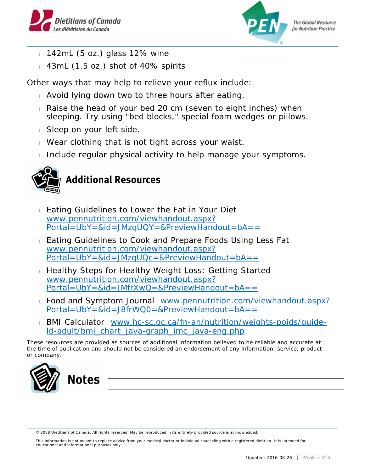



**The Global Resource** for Nutrition Practice

- $142mL$  (5 oz.) glass 12% wine
- 43mL (1.5 oz.) shot of 40% spirits

Other ways that may help to relieve your reflux include:

- Avoid lying down two to three hours after eating.
- Raise the head of your bed 20 cm (seven to eight inches) when sleeping. Try using "bed blocks," special foam wedges or pillows.
- Sleep on your left side.
- Wear clothing that is not tight across your waist.
- Include regular physical activity to help manage your symptoms.



- **Eating Guidelines to Lower the Fat in Your Diet** [www.pennutrition.com/viewhandout.aspx?](http://www.pennutrition.com/viewhandout.aspx?Portal=UbY=&id=JMzqUQY=&PreviewHandout=bA==) [Portal=UbY=&id=JMzqUQY=&PreviewHandout=bA==](http://www.pennutrition.com/viewhandout.aspx?Portal=UbY=&id=JMzqUQY=&PreviewHandout=bA==)
- **Eating Guidelines to Cook and Prepare Foods Using Less Fat** [www.pennutrition.com/viewhandout.aspx?](http://www.pennutrition.com/viewhandout.aspx?Portal=UbY=&id=JMzqUQc=&PreviewHandout=bA==) [Portal=UbY=&id=JMzqUQc=&PreviewHandout=bA==](http://www.pennutrition.com/viewhandout.aspx?Portal=UbY=&id=JMzqUQc=&PreviewHandout=bA==)
- Healthy Steps for Healthy Weight Loss: Getting Started [www.pennutrition.com/viewhandout.aspx?](http://www.pennutrition.com/viewhandout.aspx?Portal=UbY=&id=JMfrXwQ=&PreviewHandout=bA==) [Portal=UbY=&id=JMfrXwQ=&PreviewHandout=bA==](http://www.pennutrition.com/viewhandout.aspx?Portal=UbY=&id=JMfrXwQ=&PreviewHandout=bA==)
- Food and Symptom Journal [www.pennutrition.com/viewhandout.aspx?](http://www.pennutrition.com/viewhandout.aspx?Portal=UbY=&id=J8frWQ0=&PreviewHandout=bA==) [Portal=UbY=&id=J8frWQ0=&PreviewHandout=bA==](http://www.pennutrition.com/viewhandout.aspx?Portal=UbY=&id=J8frWQ0=&PreviewHandout=bA==)
- BMI Calculator [www.hc-sc.gc.ca/fn-an/nutrition/weights-poids/guide](http://www.hc-sc.gc.ca/fn-an/nutrition/weights-poids/guide-ld-adult/bmi_chart_java-graph_imc_java-eng.php)[ld-adult/bmi\\_chart\\_java-graph\\_imc\\_java-eng.php](http://www.hc-sc.gc.ca/fn-an/nutrition/weights-poids/guide-ld-adult/bmi_chart_java-graph_imc_java-eng.php)

*These resources are provided as sources of additional information believed to be reliable and accurate at the time of publication and should not be considered an endorsement of any information, service, product or company.*



This information is not meant to replace advice from your medical doctor or individual counseling with a registered dietitian. It is intended for educational and informational purposes only.

<sup>© 2008</sup> Dietitians of Canada. All rights reserved. May be reproduced in its entirety provided source is acknowledged.